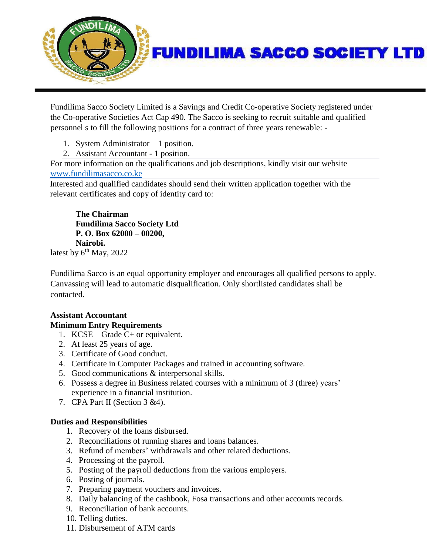

Fundilima Sacco Society Limited is a Savings and Credit Co-operative Society registered under the Co-operative Societies Act Cap 490. The Sacco is seeking to recruit suitable and qualified personnel s to fill the following positions for a contract of three years renewable: -

- 1. System Administrator 1 position.
- 2. Assistant Accountant 1 position.

For more information on the qualifications and job descriptions, kindly visit our website [www.fundilimasacco.co.ke](http://www.fundilimasacco.co.ke/)

Interested and qualified candidates should send their written application together with the relevant certificates and copy of identity card to:

**The Chairman Fundilima Sacco Society Ltd P. O. Box 62000 – 00200, Nairobi.**

latest by 6<sup>th</sup> May, 2022

Fundilima Sacco is an equal opportunity employer and encourages all qualified persons to apply. Canvassing will lead to automatic disqualification. Only shortlisted candidates shall be contacted.

#### **Assistant Accountant Minimum Entry Requirements**

- 1. KCSE Grade C+ or equivalent.
- 2. At least 25 years of age.
- 3. Certificate of Good conduct.
- 4. Certificate in Computer Packages and trained in accounting software.
- 5. Good communications & interpersonal skills.
- 6. Possess a degree in Business related courses with a minimum of 3 (three) years' experience in a financial institution.
- 7. CPA Part II (Section 3 &4).

# **Duties and Responsibilities**

- 1. Recovery of the loans disbursed.
- 2. Reconciliations of running shares and loans balances.
- 3. Refund of members' withdrawals and other related deductions.
- 4. Processing of the payroll.
- 5. Posting of the payroll deductions from the various employers.
- 6. Posting of journals.
- 7. Preparing payment vouchers and invoices.
- 8. Daily balancing of the cashbook, Fosa transactions and other accounts records.
- 9. Reconciliation of bank accounts.
- 10. Telling duties.
- 11. Disbursement of ATM cards